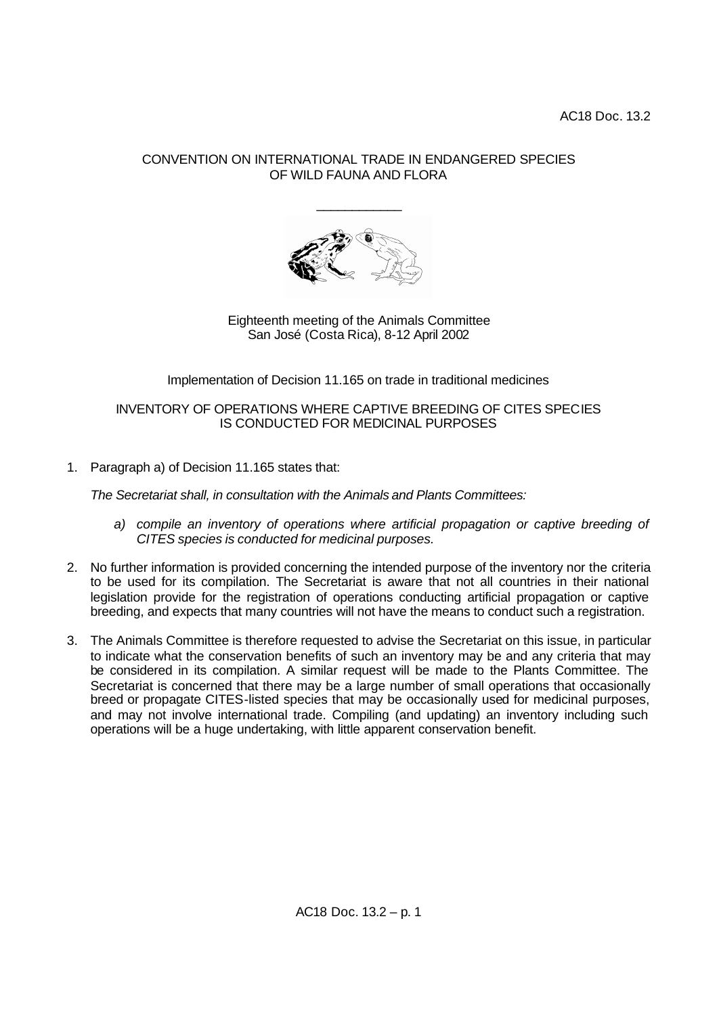## CONVENTION ON INTERNATIONAL TRADE IN ENDANGERED SPECIES OF WILD FAUNA AND FLORA

\_\_\_\_\_\_\_\_\_\_\_\_



Eighteenth meeting of the Animals Committee San José (Costa Rica), 8-12 April 2002

Implementation of Decision 11.165 on trade in traditional medicines

## INVENTORY OF OPERATIONS WHERE CAPTIVE BREEDING OF CITES SPECIES IS CONDUCTED FOR MEDICINAL PURPOSES

1. Paragraph a) of Decision 11.165 states that:

*The Secretariat shall, in consultation with the Animals and Plants Committees:*

- *a) compile an inventory of operations where artificial propagation or captive breeding of CITES species is conducted for medicinal purposes.*
- 2. No further information is provided concerning the intended purpose of the inventory nor the criteria to be used for its compilation. The Secretariat is aware that not all countries in their national legislation provide for the registration of operations conducting artificial propagation or captive breeding, and expects that many countries will not have the means to conduct such a registration.
- 3. The Animals Committee is therefore requested to advise the Secretariat on this issue, in particular to indicate what the conservation benefits of such an inventory may be and any criteria that may be considered in its compilation. A similar request will be made to the Plants Committee. The Secretariat is concerned that there may be a large number of small operations that occasionally breed or propagate CITES-listed species that may be occasionally used for medicinal purposes, and may not involve international trade. Compiling (and updating) an inventory including such operations will be a huge undertaking, with little apparent conservation benefit.